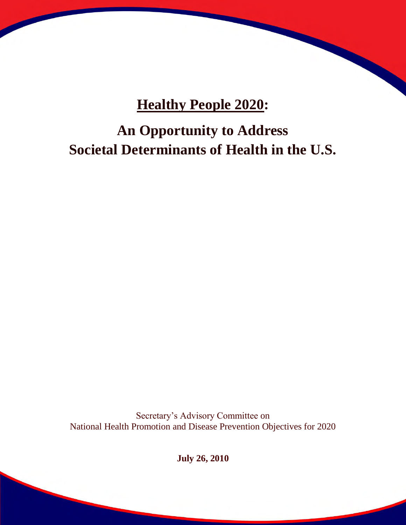## **Healthy People 2020:**

# **An Opportunity to Address Societal Determinants of Health in the U.S.**

Secretary's Advisory Committee on National Health Promotion and Disease Prevention Objectives for 2020

**July 26, 2010**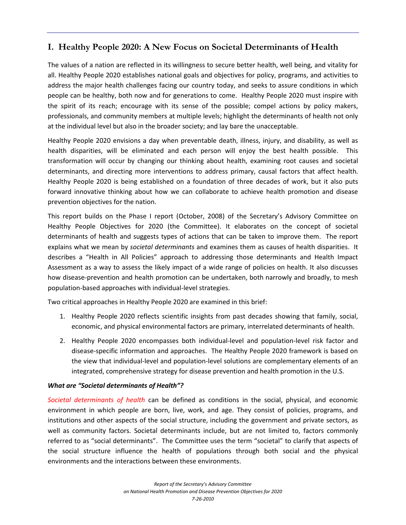## **I. Healthy People 2020: A New Focus on Societal Determinants of Health**

The values of a nation are reflected in its willingness to secure better health, well being, and vitality for all. Healthy People 2020 establishes national goals and objectives for policy, programs, and activities to address the major health challenges facing our country today, and seeks to assure conditions in which people can be healthy, both now and for generations to come. Healthy People 2020 must inspire with the spirit of its reach; encourage with its sense of the possible; compel actions by policy makers, professionals, and community members at multiple levels; highlight the determinants of health not only at the individual level but also in the broader society; and lay bare the unacceptable.

Healthy People 2020 envisions a day when preventable death, illness, injury, and disability, as well as health disparities, will be eliminated and each person will enjoy the best health possible. This transformation will occur by changing our thinking about health, examining root causes and societal determinants, and directing more interventions to address primary, causal factors that affect health. Healthy People 2020 is being established on a foundation of three decades of work, but it also puts forward innovative thinking about how we can collaborate to achieve health promotion and disease prevention objectives for the nation.

This report builds on the Phase I report (October, 2008) of the Secretary's Advisory Committee on Healthy People Objectives for 2020 (the Committee). It elaborates on the concept of societal determinants of health and suggests types of actions that can be taken to improve them. The report explains what we mean by *societal determinants* and examines them as causes of health disparities. It describes a "Health in All Policies" approach to addressing those determinants and Health Impact Assessment as a way to assess the likely impact of a wide range of policies on health. It also discusses how disease-prevention and health promotion can be undertaken, both narrowly and broadly, to mesh population-based approaches with individual-level strategies.

Two critical approaches in Healthy People 2020 are examined in this brief:

- 1. Healthy People 2020 reflects scientific insights from past decades showing that family, social, economic, and physical environmental factors are primary, interrelated determinants of health.
- 2. Healthy People 2020 encompasses both individual-level and population-level risk factor and disease-specific information and approaches. The Healthy People 2020 framework is based on the view that individual-level and population-level solutions are complementary elements of an integrated, comprehensive strategy for disease prevention and health promotion in the U.S.

#### *What are "Societal determinants of Health"?*

*Societal determinants of health* can be defined as conditions in the social, physical, and economic environment in which people are born, live, work, and age. They consist of policies, programs, and institutions and other aspects of the social structure, including the government and private sectors, as well as community factors. Societal determinants include, but are not limited to, factors commonly referred to as "social determinants". The Committee uses the term "societal" to clarify that aspects of the social structure influence the health of populations through both social and the physical environments and the interactions between these environments.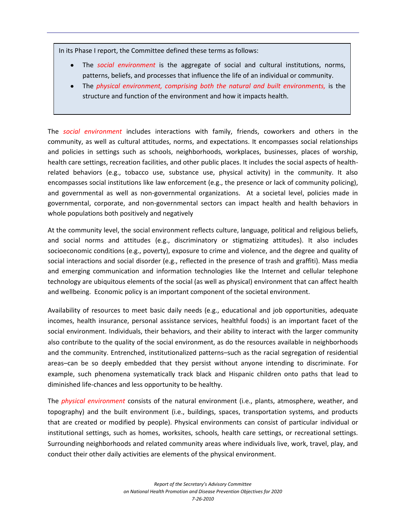In its Phase I report, the Committee defined these terms as follows:

- The *social environment* is the aggregate of social and cultural institutions, norms, patterns, beliefs, and processes that influence the life of an individual or community.
- The *physical environment, comprising both the natural and built environments,* is the structure and function of the environment and how it impacts health.

The *social environment* includes interactions with family, friends, coworkers and others in the community, as well as cultural attitudes, norms, and expectations. It encompasses social relationships and policies in settings such as schools, neighborhoods, workplaces, businesses, places of worship, health care settings, recreation facilities, and other public places. It includes the social aspects of healthrelated behaviors (e.g., tobacco use, substance use, physical activity) in the community. It also encompasses social institutions like law enforcement (e.g., the presence or lack of community policing), and governmental as well as non-governmental organizations. At a societal level, policies made in governmental, corporate, and non-governmental sectors can impact health and health behaviors in whole populations both positively and negatively

At the community level, the social environment reflects culture, language, political and religious beliefs, and social norms and attitudes (e.g., discriminatory or stigmatizing attitudes). It also includes socioeconomic conditions (e.g., poverty), exposure to crime and violence, and the degree and quality of social interactions and social disorder (e.g., reflected in the presence of trash and graffiti). Mass media and emerging communication and information technologies like the Internet and cellular telephone technology are ubiquitous elements of the social (as well as physical) environment that can affect health and wellbeing. Economic policy is an important component of the societal environment.

Availability of resources to meet basic daily needs (e.g., educational and job opportunities, adequate incomes, health insurance, personal assistance services, healthful foods) is an important facet of the social environment. Individuals, their behaviors, and their ability to interact with the larger community also contribute to the quality of the social environment, as do the resources available in neighborhoods and the community. Entrenched, institutionalized patterns–such as the racial segregation of residential areas–can be so deeply embedded that they persist without anyone intending to discriminate. For example, such phenomena systematically track black and Hispanic children onto paths that lead to diminished life-chances and less opportunity to be healthy.

The *physical environment* consists of the natural environment (i.e., plants, atmosphere, weather, and topography) and the built environment (i.e., buildings, spaces, transportation systems, and products that are created or modified by people). Physical environments can consist of particular individual or institutional settings, such as homes, worksites, schools, health care settings, or recreational settings. Surrounding neighborhoods and related community areas where individuals live, work, travel, play, and conduct their other daily activities are elements of the physical environment.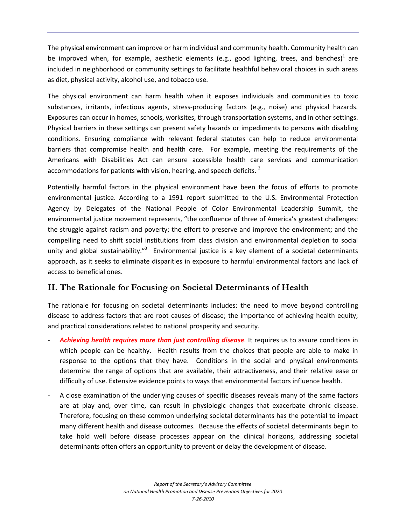The physical environment can improve or harm individual and community health. Community health can be improved when, for example, aesthetic elements (e.g., good lighting, trees, and benches)<sup>1</sup> are included in neighborhood or community settings to facilitate healthful behavioral choices in such areas as diet, physical activity, alcohol use, and tobacco use.

The physical environment can harm health when it exposes individuals and communities to toxic substances, irritants, infectious agents, stress-producing factors (e.g., noise) and physical hazards. Exposures can occur in homes, schools, worksites, through transportation systems, and in other settings. Physical barriers in these settings can present safety hazards or impediments to persons with disabling conditions. Ensuring compliance with relevant federal statutes can help to reduce environmental barriers that compromise health and health care. For example, meeting the requirements of the Americans with Disabilities Act can ensure accessible health care services and communication accommodations for patients with vision, hearing, and speech deficits.  $2^2$ 

Potentially harmful factors in the physical environment have been the focus of efforts to promote environmental justice. According to a 1991 report submitted to the U.S. Environmental Protection Agency by Delegates of the National People of Color Environmental Leadership Summit, the environmental justice movement represents, "the confluence of three of America's greatest challenges: the struggle against racism and poverty; the effort to preserve and improve the environment; and the compelling need to shift social institutions from class division and environmental depletion to social unity and global sustainability."<sup>3</sup> Environmental justice is a key element of a societal determinants approach, as it seeks to eliminate disparities in exposure to harmful environmental factors and lack of access to beneficial ones.

## **II. The Rationale for Focusing on Societal Determinants of Health**

The rationale for focusing on societal determinants includes: the need to move beyond controlling disease to address factors that are root causes of disease; the importance of achieving health equity; and practical considerations related to national prosperity and security.

- Achieving health requires more than just controlling disease. It requires us to assure conditions in which people can be healthy. Health results from the choices that people are able to make in response to the options that they have. Conditions in the social and physical environments determine the range of options that are available, their attractiveness, and their relative ease or difficulty of use. Extensive evidence points to ways that environmental factors influence health.
- A close examination of the underlying causes of specific diseases reveals many of the same factors are at play and, over time, can result in physiologic changes that exacerbate chronic disease. Therefore, focusing on these common underlying societal determinants has the potential to impact many different health and disease outcomes. Because the effects of societal determinants begin to take hold well before disease processes appear on the clinical horizons, addressing societal determinants often offers an opportunity to prevent or delay the development of disease.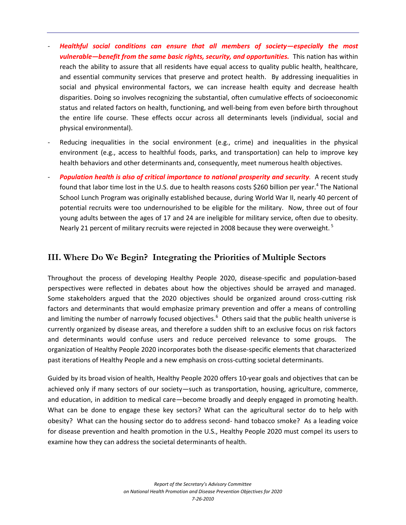- *Healthful social conditions can ensure that all members of society—especially the most vulnerable—benefit from the same basic rights, security, and opportunities.* This nation has within reach the ability to assure that all residents have equal access to quality public health, healthcare, and essential community services that preserve and protect health. By addressing inequalities in social and physical environmental factors, we can increase health equity and decrease health disparities. Doing so involves recognizing the substantial, often cumulative effects of socioeconomic status and related factors on health, functioning, and well-being from even before birth throughout the entire life course. These effects occur across all determinants levels (individual, social and physical environmental).
- Reducing inequalities in the social environment (e.g., crime) and inequalities in the physical environment (e.g., access to healthful foods, parks, and transportation) can help to improve key health behaviors and other determinants and, consequently, meet numerous health objectives.
- *Population health is also of critical importance to national prosperity and security.* A recent study found that labor time lost in the U.S. due to health reasons costs \$260 billion per year.<sup>4</sup> The National School Lunch Program was originally established because, during World War II, nearly 40 percent of potential recruits were too undernourished to be eligible for the military. Now, three out of four young adults between the ages of 17 and 24 are ineligible for military service, often due to obesity. Nearly 21 percent of military recruits were rejected in 2008 because they were overweight.  $^5$

### **III. Where Do We Begin? Integrating the Priorities of Multiple Sectors**

Throughout the process of developing Healthy People 2020, disease-specific and population-based perspectives were reflected in debates about how the objectives should be arrayed and managed. Some stakeholders argued that the 2020 objectives should be organized around cross-cutting risk factors and determinants that would emphasize primary prevention and offer a means of controlling and limiting the number of narrowly focused objectives.<sup>6</sup> Others said that the public health universe is currently organized by disease areas, and therefore a sudden shift to an exclusive focus on risk factors and determinants would confuse users and reduce perceived relevance to some groups. The organization of Healthy People 2020 incorporates both the disease-specific elements that characterized past iterations of Healthy People and a new emphasis on cross-cutting societal determinants.

Guided by its broad vision of health, Healthy People 2020 offers 10-year goals and objectives that can be achieved only if many sectors of our society—such as transportation, housing, agriculture, commerce, and education, in addition to medical care—become broadly and deeply engaged in promoting health. What can be done to engage these key sectors? What can the agricultural sector do to help with obesity? What can the housing sector do to address second- hand tobacco smoke? As a leading voice for disease prevention and health promotion in the U.S., Healthy People 2020 must compel its users to examine how they can address the societal determinants of health.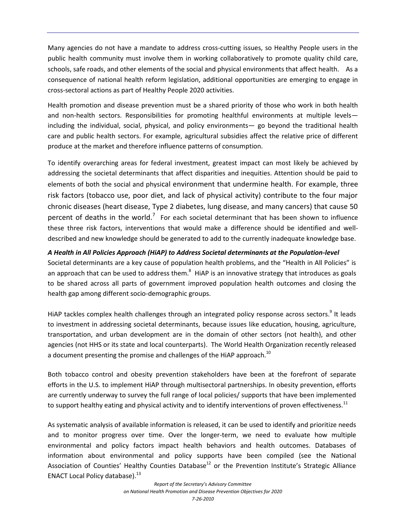Many agencies do not have a mandate to address cross-cutting issues, so Healthy People users in the public health community must involve them in working collaboratively to promote quality child care, schools, safe roads, and other elements of the social and physical environments that affect health. As a consequence of national health reform legislation, additional opportunities are emerging to engage in cross-sectoral actions as part of Healthy People 2020 activities.

Health promotion and disease prevention must be a shared priority of those who work in both health and non-health sectors. Responsibilities for promoting healthful environments at multiple levels including the individual, social, physical, and policy environments— go beyond the traditional health care and public health sectors. For example, agricultural subsidies affect the relative price of different produce at the market and therefore influence patterns of consumption.

To identify overarching areas for federal investment, greatest impact can most likely be achieved by addressing the societal determinants that affect disparities and inequities. Attention should be paid to elements of both the social and physical environment that undermine health. For example, three risk factors (tobacco use, poor diet, and lack of physical activity) contribute to the four major chronic diseases (heart disease, Type 2 diabetes, lung disease, and many cancers) that cause 50 percent of deaths in the world.<sup>7</sup> For each societal determinant that has been shown to influence these three risk factors, interventions that would make a difference should be identified and welldescribed and new knowledge should be generated to add to the currently inadequate knowledge base.

#### *A Health in All Policies Approach (HiAP) to Address Societal determinants at the Population-level*

Societal determinants are a key cause of population health problems, and the "Health in All Policies" is an approach that can be used to address them. $^8$  HiAP is an innovative strategy that introduces as goals to be shared across all parts of government improved population health outcomes and closing the health gap among different socio-demographic groups.

HiAP tackles complex health challenges through an integrated policy response across sectors.<sup>9</sup> It leads to investment in addressing societal determinants, because issues like education, housing, agriculture, transportation, and urban development are in the domain of other sectors (not health), and other agencies (not HHS or its state and local counterparts). The World Health Organization recently released a document presenting the promise and challenges of the HiAP approach.<sup>10</sup>

Both tobacco control and obesity prevention stakeholders have been at the forefront of separate efforts in the U.S. to implement HiAP through multisectoral partnerships. In obesity prevention, efforts are currently underway to survey the full range of local policies/ supports that have been implemented to support healthy eating and physical activity and to identify interventions of proven effectiveness.<sup>11</sup>

As systematic analysis of available information is released, it can be used to identify and prioritize needs and to monitor progress over time. Over the longer-term, we need to evaluate how multiple environmental and policy factors impact health behaviors and health outcomes. Databases of information about environmental and policy supports have been compiled (see the National Association of Counties' Healthy Counties Database<sup>12</sup> or the Prevention Institute's Strategic Alliance ENACT Local Policy database). $^{13}$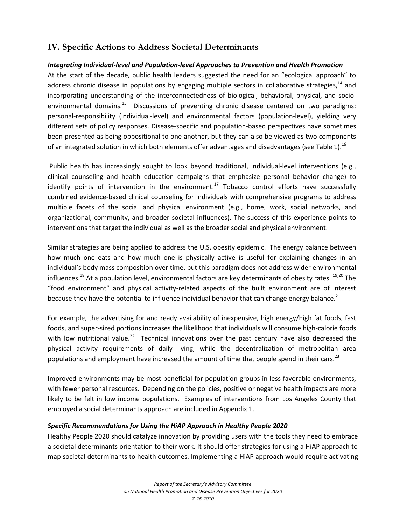## **IV. Specific Actions to Address Societal Determinants**

#### *Integrating Individual-level and Population-level Approaches to Prevention and Health Promotion*

At the start of the decade, public health leaders suggested the need for an "ecological approach" to address chronic disease in populations by engaging multiple sectors in collaborative strategies,  $^{14}$  and incorporating understanding of the interconnectedness of biological, behavioral, physical, and socioenvironmental domains.<sup>15</sup> Discussions of preventing chronic disease centered on two paradigms: personal-responsibility (individual-level) and environmental factors (population-level), yielding very different sets of policy responses. Disease-specific and population-based perspectives have sometimes been presented as being oppositional to one another, but they can also be viewed as two components of an integrated solution in which both elements offer advantages and disadvantages (see Table 1).<sup>16</sup>

Public health has increasingly sought to look beyond traditional, individual-level interventions (e.g., clinical counseling and health education campaigns that emphasize personal behavior change) to identify points of intervention in the environment.<sup>17</sup> Tobacco control efforts have successfully combined evidence-based clinical counseling for individuals with comprehensive programs to address multiple facets of the social and physical environment (e.g., home, work, social networks, and organizational, community, and broader societal influences). The success of this experience points to interventions that target the individual as well as the broader social and physical environment.

Similar strategies are being applied to address the U.S. obesity epidemic. The energy balance between how much one eats and how much one is physically active is useful for explaining changes in an individual's body mass composition over time, but this paradigm does not address wider environmental influences.<sup>18</sup> At a population level, environmental factors are key determinants of obesity rates. <sup>19,20</sup> The "food environment" and physical activity-related aspects of the built environment are of interest because they have the potential to influence individual behavior that can change energy balance.<sup>21</sup>

For example, the advertising for and ready availability of inexpensive, high energy/high fat foods, fast foods, and super-sized portions increases the likelihood that individuals will consume high-calorie foods with low nutritional value.<sup>22</sup> Technical innovations over the past century have also decreased the physical activity requirements of daily living, while the decentralization of metropolitan area populations and employment have increased the amount of time that people spend in their cars.<sup>23</sup>

Improved environments may be most beneficial for population groups in less favorable environments, with fewer personal resources. Depending on the policies, positive or negative health impacts are more likely to be felt in low income populations. Examples of interventions from Los Angeles County that employed a social determinants approach are included in Appendix 1.

#### *Specific Recommendations for Using the HiAP Approach in Healthy People 2020*

Healthy People 2020 should catalyze innovation by providing users with the tools they need to embrace a societal determinants orientation to their work. It should offer strategies for using a HiAP approach to map societal determinants to health outcomes. Implementing a HiAP approach would require activating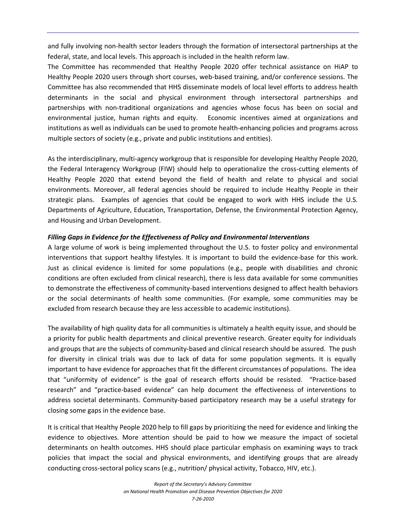and fully involving non-health sector leaders through the formation of intersectoral partnerships at the federal, state, and local levels. This approach is included in the health reform law.

The Committee has recommended that Healthy People 2020 offer technical assistance on HiAP to Healthy People 2020 users through short courses, web-based training, and/or conference sessions. The Committee has also recommended that HHS disseminate models of local level efforts to address health determinants in the social and physical environment through intersectoral partnerships and partnerships with non-traditional organizations and agencies whose focus has been on social and environmental justice, human rights and equity. Economic incentives aimed at organizations and institutions as well as individuals can be used to promote health-enhancing policies and programs across multiple sectors of society (e.g., private and public institutions and entities).

As the interdisciplinary, multi-agency workgroup that is responsible for developing Healthy People 2020, the Federal Interagency Workgroup (FIW) should help to operationalize the cross-cutting elements of Healthy People 2020 that extend beyond the field of health and relate to physical and social environments. Moreover, all federal agencies should be required to include Healthy People in their strategic plans. Examples of agencies that could be engaged to work with HHS include the U.S. Departments of Agriculture, Education, Transportation, Defense, the Environmental Protection Agency, and Housing and Urban Development.

#### *Filling Gaps in Evidence for the Effectiveness of Policy and Environmental Interventions*

A large volume of work is being implemented throughout the U.S. to foster policy and environmental interventions that support healthy lifestyles. It is important to build the evidence-base for this work. Just as clinical evidence is limited for some populations (e.g., people with disabilities and chronic conditions are often excluded from clinical research), there is less data available for some communities to demonstrate the effectiveness of community-based interventions designed to affect health behaviors or the social determinants of health some communities. (For example, some communities may be excluded from research because they are less accessible to academic institutions).

The availability of high quality data for all communities is ultimately a health equity issue, and should be a priority for public health departments and clinical preventive research. Greater equity for individuals and groups that are the subjects of community-based and clinical research should be assured. The push for diversity in clinical trials was due to lack of data for some population segments. It is equally important to have evidence for approaches that fit the different circumstances of populations. The idea that "uniformity of evidence" is the goal of research efforts should be resisted. "Practice-based research" and "practice-based evidence" can help document the effectiveness of interventions to address societal determinants. Community-based participatory research may be a useful strategy for closing some gaps in the evidence base.

It is critical that Healthy People 2020 help to fill gaps by prioritizing the need for evidence and linking the evidence to objectives. More attention should be paid to how we measure the impact of societal determinants on health outcomes. HHS should place particular emphasis on examining ways to track policies that impact the social and physical environments, and identifying groups that are already conducting cross-sectoral policy scans (e.g., nutrition/ physical activity, Tobacco, HIV, etc.).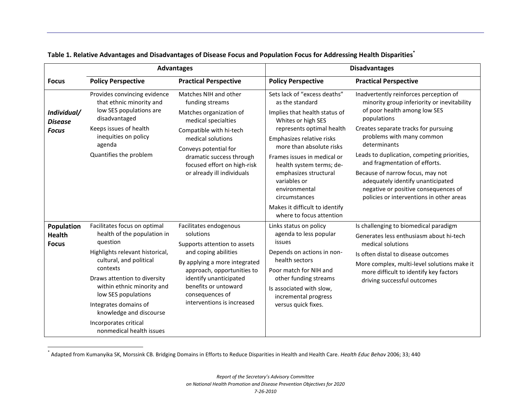|                                               | <b>Advantages</b>                                                                                                                                                                                                                                                                                                                               |                                                                                                                                                                                                                                                               | <b>Disadvantages</b>                                                                                                                                                                                                                                                                                                                                                                             |                                                                                                                                                                                                                                                                                                                                                                                                                                                                        |
|-----------------------------------------------|-------------------------------------------------------------------------------------------------------------------------------------------------------------------------------------------------------------------------------------------------------------------------------------------------------------------------------------------------|---------------------------------------------------------------------------------------------------------------------------------------------------------------------------------------------------------------------------------------------------------------|--------------------------------------------------------------------------------------------------------------------------------------------------------------------------------------------------------------------------------------------------------------------------------------------------------------------------------------------------------------------------------------------------|------------------------------------------------------------------------------------------------------------------------------------------------------------------------------------------------------------------------------------------------------------------------------------------------------------------------------------------------------------------------------------------------------------------------------------------------------------------------|
| <b>Focus</b>                                  | <b>Policy Perspective</b>                                                                                                                                                                                                                                                                                                                       | <b>Practical Perspective</b>                                                                                                                                                                                                                                  | <b>Policy Perspective</b>                                                                                                                                                                                                                                                                                                                                                                        | <b>Practical Perspective</b>                                                                                                                                                                                                                                                                                                                                                                                                                                           |
| Individual/<br><b>Disease</b><br><b>Focus</b> | Provides convincing evidence<br>that ethnic minority and<br>low SES populations are<br>disadvantaged<br>Keeps issues of health<br>inequities on policy<br>agenda<br>Quantifies the problem                                                                                                                                                      | Matches NIH and other<br>funding streams<br>Matches organization of<br>medical specialties<br>Compatible with hi-tech<br>medical solutions<br>Conveys potential for<br>dramatic success through<br>focused effort on high-risk<br>or already ill individuals  | Sets lack of "excess deaths"<br>as the standard<br>Implies that health status of<br>Whites or high SES<br>represents optimal health<br>Emphasizes relative risks<br>more than absolute risks<br>Frames issues in medical or<br>health system terms; de-<br>emphasizes structural<br>variables or<br>environmental<br>circumstances<br>Makes it difficult to identify<br>where to focus attention | Inadvertently reinforces perception of<br>minority group inferiority or inevitability<br>of poor health among low SES<br>populations<br>Creates separate tracks for pursuing<br>problems with many common<br>determinants<br>Leads to duplication, competing priorities,<br>and fragmentation of efforts.<br>Because of narrow focus, may not<br>adequately identify unanticipated<br>negative or positive consequences of<br>policies or interventions in other areas |
| Population<br><b>Health</b><br><b>Focus</b>   | Facilitates focus on optimal<br>health of the population in<br>question<br>Highlights relevant historical,<br>cultural, and political<br>contexts<br>Draws attention to diversity<br>within ethnic minority and<br>low SES populations<br>Integrates domains of<br>knowledge and discourse<br>Incorporates critical<br>nonmedical health issues | Facilitates endogenous<br>solutions<br>Supports attention to assets<br>and coping abilities<br>By applying a more integrated<br>approach, opportunities to<br>identify unanticipated<br>benefits or untoward<br>consequences of<br>interventions is increased | Links status on policy<br>agenda to less popular<br>issues<br>Depends on actions in non-<br>health sectors<br>Poor match for NIH and<br>other funding streams<br>Is associated with slow,<br>incremental progress<br>versus quick fixes.                                                                                                                                                         | Is challenging to biomedical paradigm<br>Generates less enthusiasm about hi-tech<br>medical solutions<br>Is often distal to disease outcomes<br>More complex, multi-level solutions make it<br>more difficult to identify key factors<br>driving successful outcomes                                                                                                                                                                                                   |

#### **Table 1. Relative Advantages and Disadvantages of Disease Focus and Population Focus for Addressing Health Disparities\***

 $\overline{a}$ 

<sup>\*</sup> Adapted from Kumanyika SK, Morssink CB. Bridging Domains in Efforts to Reduce Disparities in Health and Health Care. *Health Educ Behav* 2006; 33; 440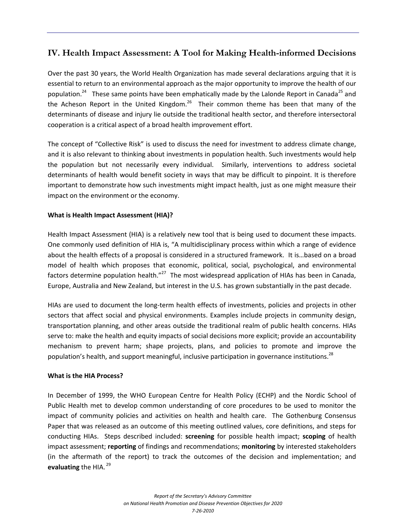## **IV. Health Impact Assessment: A Tool for Making Health-informed Decisions**

Over the past 30 years, the World Health Organization has made several declarations arguing that it is essential to return to an environmental approach as the major opportunity to improve the health of our population.<sup>24</sup> These same points have been emphatically made by the Lalonde Report in Canada<sup>25</sup> and the Acheson Report in the United Kingdom.<sup>26</sup> Their common theme has been that many of the determinants of disease and injury lie outside the traditional health sector, and therefore intersectoral cooperation is a critical aspect of a broad health improvement effort.

The concept of "Collective Risk" is used to discuss the need for investment to address climate change, and it is also relevant to thinking about investments in population health. Such investments would help the population but not necessarily every individual. Similarly, interventions to address societal determinants of health would benefit society in ways that may be difficult to pinpoint. It is therefore important to demonstrate how such investments might impact health, just as one might measure their impact on the environment or the economy.

#### **What is Health Impact Assessment (HIA)?**

Health Impact Assessment (HIA) is a relatively new tool that is being used to document these impacts. One commonly used definition of HIA is, "A multidisciplinary process within which a range of evidence about the health effects of a proposal is considered in a structured framework. It is…based on a broad model of health which proposes that economic, political, social, psychological, and environmental factors determine population health."<sup>27</sup> The most widespread application of HIAs has been in Canada, Europe, Australia and New Zealand, but interest in the U.S. has grown substantially in the past decade.

HIAs are used to document the long-term health effects of investments, policies and projects in other sectors that affect social and physical environments. Examples include projects in community design, transportation planning, and other areas outside the traditional realm of public health concerns. HIAs serve to: make the health and equity impacts of social decisions more explicit; provide an accountability mechanism to prevent harm; shape projects, plans, and policies to promote and improve the population's health, and support meaningful, inclusive participation in governance institutions.<sup>28</sup>

#### **What is the HIA Process?**

In December of 1999, the WHO European Centre for Health Policy (ECHP) and the Nordic School of Public Health met to develop common understanding of core procedures to be used to monitor the impact of community policies and activities on health and health care. The Gothenburg Consensus Paper that was released as an outcome of this meeting outlined values, core definitions, and steps for conducting HIAs. Steps described included: **screening** for possible health impact; **scoping** of health impact assessment; **reporting** of findings and recommendations; **monitoring** by interested stakeholders (in the aftermath of the report) to track the outcomes of the decision and implementation; and **evaluating** the HIA.<sup>29</sup>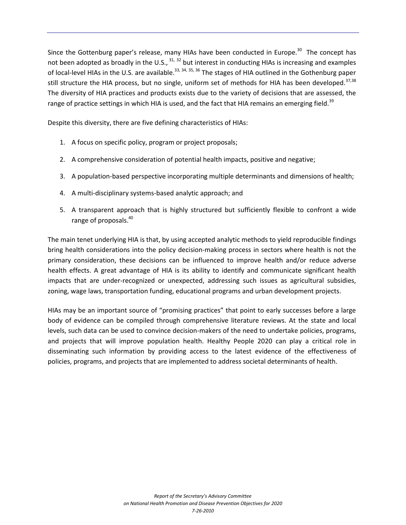Since the Gottenburg paper's release, many HIAs have been conducted in Europe.<sup>30</sup> The concept has not been adopted as broadly in the U.S.,  $^{31, 32}$  but interest in conducting HIAs is increasing and examples of local-level HIAs in the U.S. are available.<sup>33, 34, 35, 36</sup> The stages of HIA outlined in the Gothenburg paper still structure the HIA process, but no single, uniform set of methods for HIA has been developed.<sup>37,38</sup> The diversity of HIA practices and products exists due to the variety of decisions that are assessed, the range of practice settings in which HIA is used, and the fact that HIA remains an emerging field.<sup>39</sup>

Despite this diversity, there are five defining characteristics of HIAs:

- 1. A focus on specific policy, program or project proposals;
- 2. A comprehensive consideration of potential health impacts, positive and negative;
- 3. A population-based perspective incorporating multiple determinants and dimensions of health;
- 4. A multi-disciplinary systems-based analytic approach; and
- 5. A transparent approach that is highly structured but sufficiently flexible to confront a wide range of proposals.<sup>40</sup>

The main tenet underlying HIA is that, by using accepted analytic methods to yield reproducible findings bring health considerations into the policy decision-making process in sectors where health is not the primary consideration, these decisions can be influenced to improve health and/or reduce adverse health effects. A great advantage of HIA is its ability to identify and communicate significant health impacts that are under-recognized or unexpected, addressing such issues as agricultural subsidies, zoning, wage laws, transportation funding, educational programs and urban development projects.

HIAs may be an important source of "promising practices" that point to early successes before a large body of evidence can be compiled through comprehensive literature reviews. At the state and local levels, such data can be used to convince decision-makers of the need to undertake policies, programs, and projects that will improve population health. Healthy People 2020 can play a critical role in disseminating such information by providing access to the latest evidence of the effectiveness of policies, programs, and projects that are implemented to address societal determinants of health.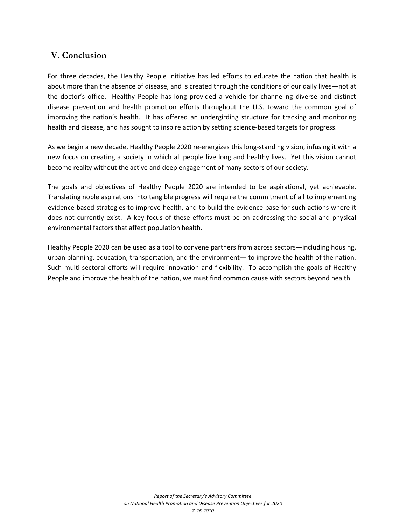## **V. Conclusion**

For three decades, the Healthy People initiative has led efforts to educate the nation that health is about more than the absence of disease, and is created through the conditions of our daily lives—not at the doctor's office. Healthy People has long provided a vehicle for channeling diverse and distinct disease prevention and health promotion efforts throughout the U.S. toward the common goal of improving the nation's health. It has offered an undergirding structure for tracking and monitoring health and disease, and has sought to inspire action by setting science-based targets for progress.

As we begin a new decade, Healthy People 2020 re-energizes this long-standing vision, infusing it with a new focus on creating a society in which all people live long and healthy lives. Yet this vision cannot become reality without the active and deep engagement of many sectors of our society.

The goals and objectives of Healthy People 2020 are intended to be aspirational, yet achievable. Translating noble aspirations into tangible progress will require the commitment of all to implementing evidence-based strategies to improve health, and to build the evidence base for such actions where it does not currently exist. A key focus of these efforts must be on addressing the social and physical environmental factors that affect population health.

Healthy People 2020 can be used as a tool to convene partners from across sectors—including housing, urban planning, education, transportation, and the environment— to improve the health of the nation. Such multi-sectoral efforts will require innovation and flexibility. To accomplish the goals of Healthy People and improve the health of the nation, we must find common cause with sectors beyond health.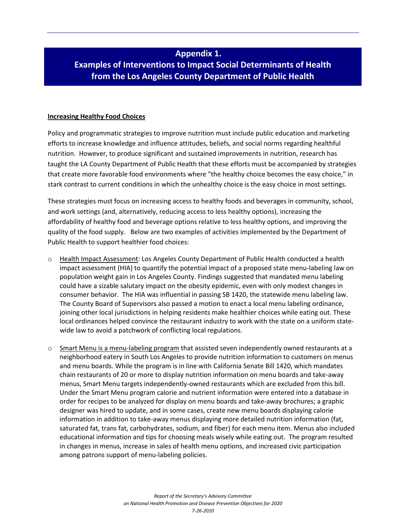## **Appendix 1.**

## **Examples of Interventions to Impact Social Determinants of Health from the Los Angeles County Department of Public Health**

#### **Increasing Healthy Food Choices**

Policy and programmatic strategies to improve nutrition must include public education and marketing efforts to increase knowledge and influence attitudes, beliefs, and social norms regarding healthful nutrition. However, to produce significant and sustained improvements in nutrition, research has taught the LA County Department of Public Health that these efforts must be accompanied by strategies that create more favorable food environments where "the healthy choice becomes the easy choice," in stark contrast to current conditions in which the unhealthy choice is the easy choice in most settings.

These strategies must focus on increasing access to healthy foods and beverages in community, school, and work settings (and, alternatively, reducing access to less healthy options), increasing the affordability of healthy food and beverage options relative to less healthy options, and improving the quality of the food supply. Below are two examples of activities implemented by the Department of Public Health to support healthier food choices:

- o Health Impact Assessment: Los Angeles County Department of Public Health conducted a health impact assessment (HIA) to quantify the potential impact of a proposed state menu-labeling law on population weight gain in Los Angeles County. Findings suggested that mandated menu labeling could have a sizable salutary impact on the obesity epidemic, even with only modest changes in consumer behavior. The HIA was influential in passing SB 1420, the statewide menu labeling law. The County Board of Supervisors also passed a motion to enact a local menu labeling ordinance, joining other local jurisdictions in helping residents make healthier choices while eating out. These local ordinances helped convince the restaurant industry to work with the state on a uniform statewide law to avoid a patchwork of conflicting local regulations.
- $\circ$  Smart Menu is a menu-labeling program that assisted seven independently owned restaurants at a neighborhood eatery in South Los Angeles to provide nutrition information to customers on menus and menu boards. While the program is in line with California Senate Bill 1420, which mandates chain restaurants of 20 or more to display nutrition information on menu boards and take-away menus, Smart Menu targets independently-owned restaurants which are excluded from this bill. Under the Smart Menu program calorie and nutrient information were entered into a database in order for recipes to be analyzed for display on menu boards and take-away brochures; a graphic designer was hired to update, and in some cases, create new menu boards displaying calorie information in addition to take-away menus displaying more detailed nutrition information (fat, saturated fat, trans fat, carbohydrates, sodium, and fiber) for each menu item. Menus also included educational information and tips for choosing meals wisely while eating out. The program resulted in changes in menus, increase in sales of health menu options, and increased civic participation among patrons support of menu-labeling policies.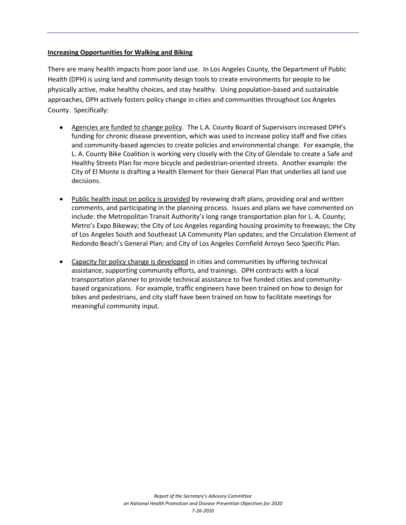#### **Increasing Opportunities for Walking and Biking**

There are many health impacts from poor land use. In Los Angeles County, the Department of Public Health (DPH) is using land and community design tools to create environments for people to be physically active, make healthy choices, and stay healthy. Using population-based and sustainable approaches, DPH actively fosters policy change in cities and communities throughout Los Angeles County. Specifically:

- Agencies are funded to change policy. The L.A. County Board of Supervisors increased DPH's funding for chronic disease prevention, which was used to increase policy staff and five cities and community-based agencies to create policies and environmental change. For example, the L. A. County Bike Coalition is working very closely with the City of Glendale to create a Safe and Healthy Streets Plan for more bicycle and pedestrian-oriented streets. Another example: the City of El Monte is drafting a Health Element for their General Plan that underlies all land use decisions.
- Public health input on policy is provided by reviewing draft plans, providing oral and written comments, and participating in the planning process. Issues and plans we have commented on include: the Metropolitan Transit Authority's long range transportation plan for L. A. County; Metro's Expo Bikeway; the City of Los Angeles regarding housing proximity to freeways; the City of Los Angeles South and Southeast LA Community Plan updates; and the Circulation Element of Redondo Beach's General Plan; and City of Los Angeles Cornfield Arroyo Seco Specific Plan.
- Capacity for policy change is developed in cities and communities by offering technical assistance, supporting community efforts, and trainings. DPH contracts with a local transportation planner to provide technical assistance to five funded cities and communitybased organizations. For example, traffic engineers have been trained on how to design for bikes and pedestrians, and city staff have been trained on how to facilitate meetings for meaningful community input.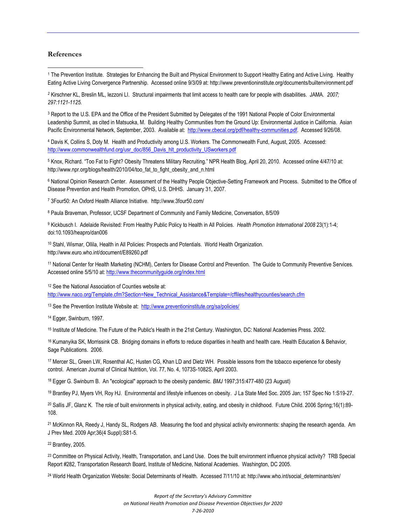#### **References**

 $\overline{\phantom{a}}$ 

1 The Prevention Institute. Strategies for Enhancing the Built and Physical Environment to Support Healthy Eating and Active Living. Healthy Eating Active Living Convergence Partnership. Accessed online 9/3/09 at: http://www.preventioninstitute.org/documents/builtenvironment.pdf

*<sup>2</sup>* Kirschner KL, Breslin ML, Iezzoni LI. Structural impairments that limit access to health care for people with disabilities. JAMA*. 2007; 297:1121-1125.*

<sup>3</sup> Report to the U.S. EPA and the Office of the President Submitted by Delegates of the 1991 National People of Color Environmental Leadership Summit, as cited in Matsuoka, M. Building Healthy Communities from the Ground Up: Environmental Justice in California. Asian Pacific Environmental Network, September, 2003. Available at: [http://www.cbecal.org/pdf/healthy-communities.pdf.](http://www.cbecal.org/pdf/healthy-communities.pdf) Accessed 9/26/08.

4 Davis K, Collins S, Doty M. Health and Productivity among U.S. Workers. The Commonwealth Fund, August, 2005. Accessed: [http://www.commonwealthfund.org/usr\\_doc/856\\_Davis\\_hlt\\_productivity\\_USworkers.pdf](http://www.commonwealthfund.org/usr_doc/856_Davis_hlt_productivity_USworkers.pdf)

<sup>5</sup> Knox, Richard. "Too Fat to Fight? Obesity Threatens Military Recruiting." NPR Health Blog, April 20, 2010. Accessed online 4/47/10 at: http://www.npr.org/blogs/health/2010/04/too\_fat\_to\_fight\_obesity\_and\_n.html

<sup>6</sup> National Opinion Research Center. Assessment of the Healthy People Objective-Setting Framework and Process. Submitted to the Office of Disease Prevention and Health Promotion, OPHS, U.S. DHHS. January 31, 2007.

7 3Four50: An Oxford Health Alliance Initiative. http://www.3four50.com/

<sup>8</sup> Paula Braveman, Professor, UCSF Department of Community and Family Medicine, Conversation, 8/5/09

<sup>9</sup> Kickbusch I. Adelaide Revisited: From Healthy Public Policy to Health in All Policies. *Health Promotion International 2008* 23(1):1-4; doi:10.1093/heapro/dan006

<sup>10</sup> Stahl, Wismar, Ollila, Health in All Policies: Prospects and Potentials. World Health Organization. http://www.euro.who.int/document/E89260.pdf

<sup>11</sup> National Center for Health Marketing (NCHM), Centers for Disease Control and Prevention. The Guide to Community Preventive Services. Accessed online 5/5/10 at[: http://www.thecommunityguide.org/index.html](http://www.thecommunityguide.org/index.html)

12 See the National Association of Counties website at:

[http://www.naco.org/Template.cfm?Section=New\\_Technical\\_Assistance&Template=/cffiles/healthycounties/search.cfm](http://www.naco.org/Template.cfm?Section=New_Technical_Assistance&Template=/cffiles/healthycounties/search.cfm)

<sup>13</sup> See the Prevention Institute Website at:<http://www.preventioninstitute.org/sa/policies/>

<sup>14</sup> Egger, Swinburn, 1997.

<sup>15</sup> Institute of Medicine. The Future of the Public's Health in the 21st Century. Washington, DC: National Academies Press. 2002.

<sup>16</sup> Kumanyika SK, Morrissink CB. Bridging domains in efforts to reduce disparities in health and health care. Health Education & Behavior, Sage Publications. 2006.

<sup>17</sup> Mercer SL, Green LW, Rosenthal AC, Husten CG, Khan LD and Dietz WH. Possible lessons from the tobacco experience for obesity control. American Journal of Clinical Nutrition, Vol. 77, No. 4, 1073S-1082S, April 2003.

<sup>18</sup> Egger G. Swinburn B. An "ecological" approach to the obesity pandemic. *BMJ* 1997;315:477-480 (23 August)

<sup>19</sup> Brantley PJ, Myers VH, Roy HJ. Environmental and lifestyle influences on obesity. J La State Med Soc. 2005 Jan; 157 Spec No 1:S19-27.

<sup>20</sup> Sallis JF, Glanz K. The role of built environments in physical activity, eating, and obesity in childhood. Future Child. 2006 Spring;16(1):89-108.

<sup>21</sup> McKinnon RA, Reedy J, Handy SL, Rodgers AB. Measuring the food and physical activity environments: shaping the research agenda. Am J Prev Med. 2009 Apr;36(4 Suppl):S81-5.

<sup>22</sup> Brantley, 2005.

<sup>23</sup> Committee on Physical Activity, Health, Transportation, and Land Use. Does the built environment influence physical activity? TRB Special Report #282, Transportation Research Board, Institute of Medicine, National Academies. Washington, DC 2005.

24 World Health Organization Website: Social Determinants of Health. Accessed 7/11/10 at: http://www.who.int/social\_determinants/en/